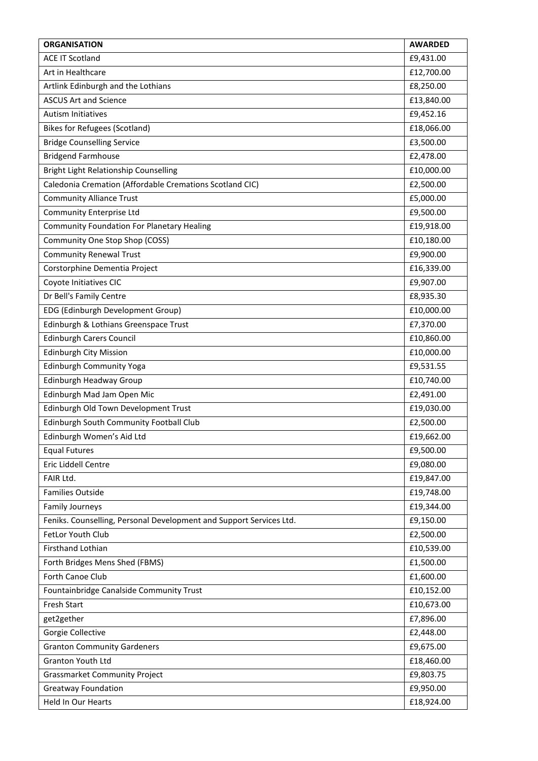| <b>ORGANISATION</b>                                                 | <b>AWARDED</b> |
|---------------------------------------------------------------------|----------------|
| <b>ACE IT Scotland</b>                                              | £9,431.00      |
| Art in Healthcare                                                   | £12,700.00     |
| Artlink Edinburgh and the Lothians                                  | £8,250.00      |
| <b>ASCUS Art and Science</b>                                        | £13,840.00     |
| <b>Autism Initiatives</b>                                           | £9,452.16      |
| <b>Bikes for Refugees (Scotland)</b>                                | £18,066.00     |
| <b>Bridge Counselling Service</b>                                   | £3,500.00      |
| <b>Bridgend Farmhouse</b>                                           | £2,478.00      |
| Bright Light Relationship Counselling                               | £10,000.00     |
| Caledonia Cremation (Affordable Cremations Scotland CIC)            | £2,500.00      |
| <b>Community Alliance Trust</b>                                     | £5,000.00      |
| Community Enterprise Ltd                                            | £9,500.00      |
| <b>Community Foundation For Planetary Healing</b>                   | £19,918.00     |
| Community One Stop Shop (COSS)                                      | £10,180.00     |
| <b>Community Renewal Trust</b>                                      | £9,900.00      |
| Corstorphine Dementia Project                                       | £16,339.00     |
| Coyote Initiatives CIC                                              | £9,907.00      |
| Dr Bell's Family Centre                                             | £8,935.30      |
| EDG (Edinburgh Development Group)                                   | £10,000.00     |
| Edinburgh & Lothians Greenspace Trust                               | £7,370.00      |
| <b>Edinburgh Carers Council</b>                                     | £10,860.00     |
| <b>Edinburgh City Mission</b>                                       | £10,000.00     |
| Edinburgh Community Yoga                                            | £9,531.55      |
| Edinburgh Headway Group                                             | £10,740.00     |
| Edinburgh Mad Jam Open Mic                                          | £2,491.00      |
| Edinburgh Old Town Development Trust                                | £19,030.00     |
| Edinburgh South Community Football Club                             | £2,500.00      |
| Edinburgh Women's Aid Ltd                                           | £19,662.00     |
| <b>Equal Futures</b>                                                | £9,500.00      |
| Eric Liddell Centre                                                 | £9,080.00      |
| FAIR Ltd.                                                           | £19,847.00     |
| <b>Families Outside</b>                                             | £19,748.00     |
| <b>Family Journeys</b>                                              | £19,344.00     |
| Feniks. Counselling, Personal Development and Support Services Ltd. | £9,150.00      |
| FetLor Youth Club                                                   | £2,500.00      |
| <b>Firsthand Lothian</b>                                            | £10,539.00     |
| Forth Bridges Mens Shed (FBMS)                                      | £1,500.00      |
| Forth Canoe Club                                                    | £1,600.00      |
| Fountainbridge Canalside Community Trust                            | £10,152.00     |
| Fresh Start                                                         | £10,673.00     |
| get2gether                                                          | £7,896.00      |
| Gorgie Collective                                                   | £2,448.00      |
| <b>Granton Community Gardeners</b>                                  | £9,675.00      |
| Granton Youth Ltd                                                   | £18,460.00     |
| <b>Grassmarket Community Project</b>                                | £9,803.75      |
| <b>Greatway Foundation</b>                                          | £9,950.00      |
| Held In Our Hearts                                                  | £18,924.00     |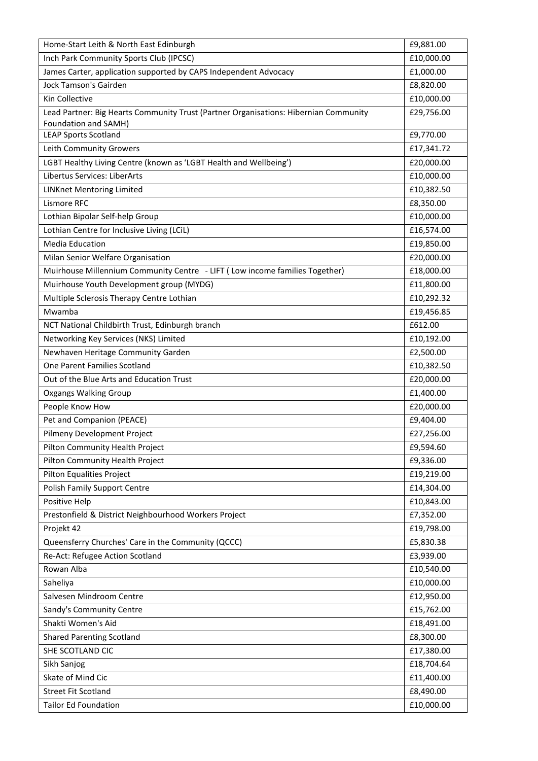| Home-Start Leith & North East Edinburgh                                                                      | £9,881.00  |
|--------------------------------------------------------------------------------------------------------------|------------|
| Inch Park Community Sports Club (IPCSC)                                                                      | £10,000.00 |
| James Carter, application supported by CAPS Independent Advocacy                                             | £1,000.00  |
| <b>Jock Tamson's Gairden</b>                                                                                 | £8,820.00  |
| Kin Collective                                                                                               | £10,000.00 |
| Lead Partner: Big Hearts Community Trust (Partner Organisations: Hibernian Community<br>Foundation and SAMH) | £29,756.00 |
| <b>LEAP Sports Scotland</b>                                                                                  | £9,770.00  |
| Leith Community Growers                                                                                      | £17,341.72 |
| LGBT Healthy Living Centre (known as 'LGBT Health and Wellbeing')                                            | £20,000.00 |
| Libertus Services: LiberArts                                                                                 | £10,000.00 |
| <b>LINKnet Mentoring Limited</b>                                                                             | £10,382.50 |
| Lismore RFC                                                                                                  | £8,350.00  |
| Lothian Bipolar Self-help Group                                                                              | £10,000.00 |
| Lothian Centre for Inclusive Living (LCiL)                                                                   | £16,574.00 |
| <b>Media Education</b>                                                                                       | £19,850.00 |
| Milan Senior Welfare Organisation                                                                            | £20,000.00 |
| Muirhouse Millennium Community Centre - LIFT (Low income families Together)                                  | £18,000.00 |
| Muirhouse Youth Development group (MYDG)                                                                     | £11,800.00 |
| Multiple Sclerosis Therapy Centre Lothian                                                                    | £10,292.32 |
| Mwamba                                                                                                       | £19,456.85 |
| NCT National Childbirth Trust, Edinburgh branch                                                              | £612.00    |
| Networking Key Services (NKS) Limited                                                                        | £10,192.00 |
| Newhaven Heritage Community Garden                                                                           | £2,500.00  |
| One Parent Families Scotland                                                                                 | £10,382.50 |
| Out of the Blue Arts and Education Trust                                                                     | £20,000.00 |
| <b>Oxgangs Walking Group</b>                                                                                 | £1,400.00  |
| People Know How                                                                                              | £20,000.00 |
| Pet and Companion (PEACE)                                                                                    | £9,404.00  |
| Pilmeny Development Project                                                                                  | £27,256.00 |
| Pilton Community Health Project                                                                              | £9,594.60  |
| Pilton Community Health Project                                                                              | £9,336.00  |
| Pilton Equalities Project                                                                                    | £19,219.00 |
| <b>Polish Family Support Centre</b>                                                                          | £14,304.00 |
| Positive Help                                                                                                | £10,843.00 |
| Prestonfield & District Neighbourhood Workers Project                                                        | £7,352.00  |
| Projekt 42                                                                                                   | £19,798.00 |
| Queensferry Churches' Care in the Community (QCCC)                                                           | £5,830.38  |
| Re-Act: Refugee Action Scotland                                                                              | £3,939.00  |
| Rowan Alba                                                                                                   | £10,540.00 |
| Saheliya                                                                                                     | £10,000.00 |
| Salvesen Mindroom Centre                                                                                     | £12,950.00 |
| Sandy's Community Centre                                                                                     | £15,762.00 |
| Shakti Women's Aid                                                                                           | £18,491.00 |
| <b>Shared Parenting Scotland</b>                                                                             | £8,300.00  |
| SHE SCOTLAND CIC                                                                                             | £17,380.00 |
| Sikh Sanjog                                                                                                  | £18,704.64 |
| Skate of Mind Cic                                                                                            | £11,400.00 |
| <b>Street Fit Scotland</b>                                                                                   | £8,490.00  |
| <b>Tailor Ed Foundation</b>                                                                                  | £10,000.00 |